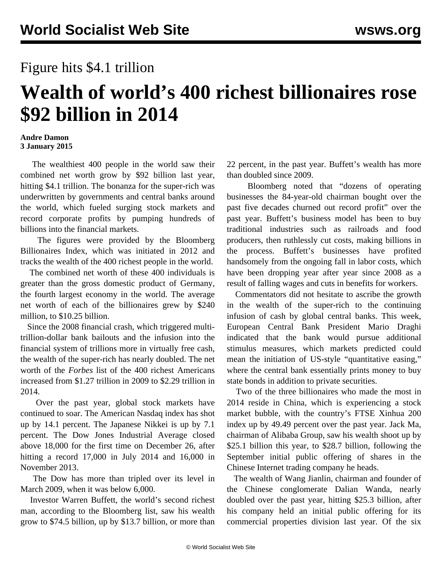## Figure hits \$4.1 trillion

## **Wealth of world's 400 richest billionaires rose \$92 billion in 2014**

## **Andre Damon 3 January 2015**

 The wealthiest 400 people in the world saw their combined net worth grow by \$92 billion last year, hitting \$4.1 trillion. The bonanza for the super-rich was underwritten by governments and central banks around the world, which fueled surging stock markets and record corporate profits by pumping hundreds of billions into the financial markets.

 The figures were provided by the Bloomberg Billionaires Index, which was initiated in 2012 and tracks the wealth of the 400 richest people in the world.

 The combined net worth of these 400 individuals is greater than the gross domestic product of Germany, the fourth largest economy in the world. The average net worth of each of the billionaires grew by \$240 million, to \$10.25 billion.

 Since the 2008 financial crash, which triggered multitrillion-dollar bank bailouts and the infusion into the financial system of trillions more in virtually free cash, the wealth of the super-rich has nearly doubled. The net worth of the *Forbes* list of the 400 richest Americans increased from \$1.27 trillion in 2009 to \$2.29 trillion in 2014.

 Over the past year, global stock markets have continued to soar. The American Nasdaq index has shot up by 14.1 percent. The Japanese Nikkei is up by 7.1 percent. The Dow Jones Industrial Average closed above 18,000 for the first time on December 26, after hitting a record 17,000 in July 2014 and 16,000 in November 2013.

 The Dow has more than tripled over its level in March 2009, when it was below 6,000.

 Investor Warren Buffett, the world's second richest man, according to the Bloomberg list, saw his wealth grow to \$74.5 billion, up by \$13.7 billion, or more than 22 percent, in the past year. Buffett's wealth has more than doubled since 2009.

 Bloomberg noted that "dozens of operating businesses the 84-year-old chairman bought over the past five decades churned out record profit" over the past year. Buffett's business model has been to buy traditional industries such as railroads and food producers, then ruthlessly cut costs, making billions in the process. Buffett's businesses have profited handsomely from the ongoing fall in labor costs, which have been dropping year after year since 2008 as a result of falling wages and cuts in benefits for workers.

 Commentators did not hesitate to ascribe the growth in the wealth of the super-rich to the continuing infusion of cash by global central banks. This week, European Central Bank President Mario Draghi indicated that the bank would pursue additional stimulus measures, which markets predicted could mean the initiation of US-style "quantitative easing," where the central bank essentially prints money to buy state bonds in addition to private securities.

 Two of the three billionaires who made the most in 2014 reside in China, which is experiencing a stock market bubble, with the country's FTSE Xinhua 200 index up by 49.49 percent over the past year. Jack Ma, chairman of Alibaba Group, saw his wealth shoot up by \$25.1 billion this year, to \$28.7 billion, following the September initial public offering of shares in the Chinese Internet trading company he heads.

 The wealth of Wang Jianlin, chairman and founder of the Chinese conglomerate Dalian Wanda, nearly doubled over the past year, hitting \$25.3 billion, after his company held an initial public offering for its commercial properties division last year. Of the six